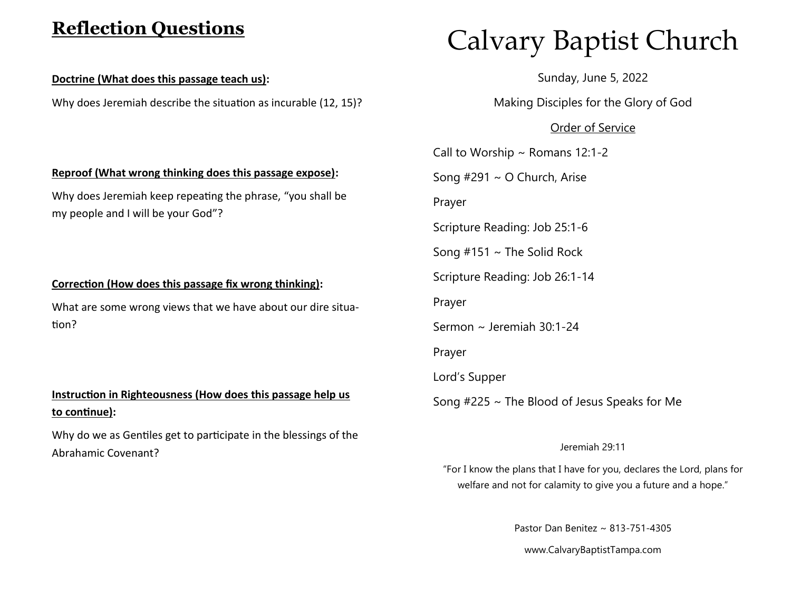# **Reflection Questions**

#### **Doctrine (What does this passage teach us):**

Why does Jeremiah describe the situation as incurable (12, 15)?

# Calvary Baptist Church

Sunday, June 5, 2022

Making Disciples for the Glory of God

### Order of Service

Call to Worship  $\sim$  Romans 12:1-2 Song #291 ~ O Church, Arise Prayer Scripture Reading: Job 25:1-6 Song  $#151 \sim$  The Solid Rock Scripture Reading: Job 26:1-14 Prayer Sermon ~ Jeremiah 30:1-24 Prayer Lord's Supper Song #225 ~ The Blood of Jesus Speaks for Me

#### Jeremiah 29:11

"For I know the plans that I have for you, declares the Lord, plans for welfare and not for calamity to give you a future and a hope."

Pastor Dan Benitez ~ 813-751-4305

www.CalvaryBaptistTampa.com

#### **Reproof (What wrong thinking does this passage expose):**

Why does Jeremiah keep repeating the phrase, "you shall be my people and I will be your God"?

#### **Correction (How does this passage fix wrong thinking):**

What are some wrong views that we have about our dire situation?

## **Instruction in Righteousness (How does this passage help us to continue):**

Why do we as Gentiles get to participate in the blessings of the Abrahamic Covenant?